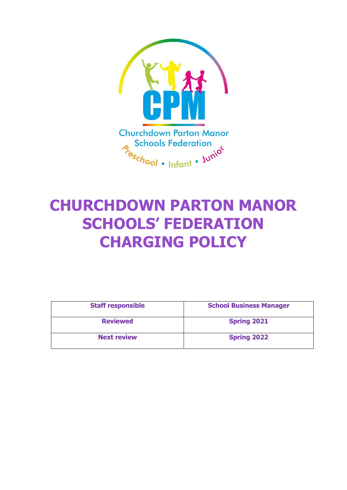

# **CHURCHDOWN PARTON MANOR SCHOOLS' FEDERATION CHARGING POLICY**

| <b>Staff responsible</b> | <b>School Business Manager</b> |
|--------------------------|--------------------------------|
| <b>Reviewed</b>          | <b>Spring 2021</b>             |
| <b>Next review</b>       | <b>Spring 2022</b>             |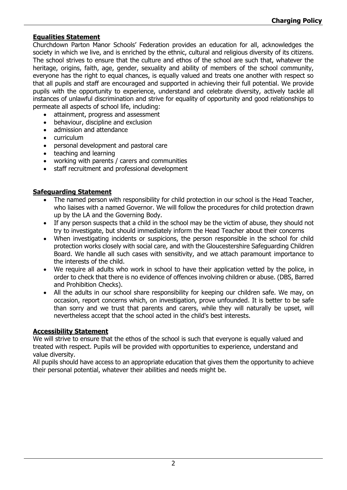#### **Equalities Statement**

Churchdown Parton Manor Schools' Federation provides an education for all, acknowledges the society in which we live, and is enriched by the ethnic, cultural and religious diversity of its citizens. The school strives to ensure that the culture and ethos of the school are such that, whatever the heritage, origins, faith, age, gender, sexuality and ability of members of the school community, everyone has the right to equal chances, is equally valued and treats one another with respect so that all pupils and staff are encouraged and supported in achieving their full potential. We provide pupils with the opportunity to experience, understand and celebrate diversity, actively tackle all instances of unlawful discrimination and strive for equality of opportunity and good relationships to permeate all aspects of school life, including:

- attainment, progress and assessment
- behaviour, discipline and exclusion
- admission and attendance
- curriculum
- personal development and pastoral care
- teaching and learning
- working with parents / carers and communities
- staff recruitment and professional development

#### **Safeguarding Statement**

- The named person with responsibility for child protection in our school is the Head Teacher, who liaises with a named Governor. We will follow the procedures for child protection drawn up by the LA and the Governing Body.
- If any person suspects that a child in the school may be the victim of abuse, they should not try to investigate, but should immediately inform the Head Teacher about their concerns
- When investigating incidents or suspicions, the person responsible in the school for child protection works closely with social care, and with the Gloucestershire Safeguarding Children Board. We handle all such cases with sensitivity, and we attach paramount importance to the interests of the child.
- We require all adults who work in school to have their application vetted by the police, in order to check that there is no evidence of offences involving children or abuse. (DBS, Barred and Prohibition Checks).
- All the adults in our school share responsibility for keeping our children safe. We may, on occasion, report concerns which, on investigation, prove unfounded. It is better to be safe than sorry and we trust that parents and carers, while they will naturally be upset, will nevertheless accept that the school acted in the child's best interests.

#### **Accessibility Statement**

We will strive to ensure that the ethos of the school is such that everyone is equally valued and treated with respect. Pupils will be provided with opportunities to experience, understand and value diversity.

All pupils should have access to an appropriate education that gives them the opportunity to achieve their personal potential, whatever their abilities and needs might be.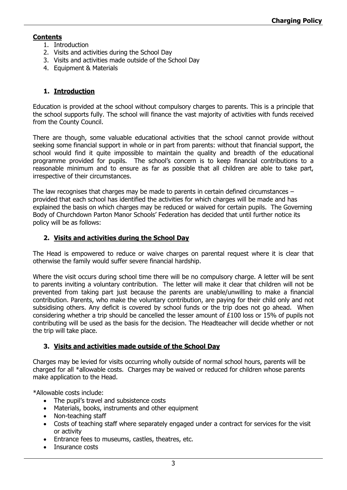## **Contents**

- 1. Introduction
- 2. Visits and activities during the School Day
- 3. Visits and activities made outside of the School Day
- 4. Equipment & Materials

## **1. Introduction**

Education is provided at the school without compulsory charges to parents. This is a principle that the school supports fully. The school will finance the vast majority of activities with funds received from the County Council.

There are though, some valuable educational activities that the school cannot provide without seeking some financial support in whole or in part from parents: without that financial support, the school would find it quite impossible to maintain the quality and breadth of the educational programme provided for pupils. The school's concern is to keep financial contributions to a reasonable minimum and to ensure as far as possible that all children are able to take part, irrespective of their circumstances.

The law recognises that charges may be made to parents in certain defined circumstances – provided that each school has identified the activities for which charges will be made and has explained the basis on which charges may be reduced or waived for certain pupils. The Governing Body of Churchdown Parton Manor Schools' Federation has decided that until further notice its policy will be as follows:

#### **2. Visits and activities during the School Day**

The Head is empowered to reduce or waive charges on parental request where it is clear that otherwise the family would suffer severe financial hardship.

Where the visit occurs during school time there will be no compulsory charge. A letter will be sent to parents inviting a voluntary contribution. The letter will make it clear that children will not be prevented from taking part just because the parents are unable/unwilling to make a financial contribution. Parents, who make the voluntary contribution, are paying for their child only and not subsidising others. Any deficit is covered by school funds or the trip does not go ahead. When considering whether a trip should be cancelled the lesser amount of £100 loss or 15% of pupils not contributing will be used as the basis for the decision. The Headteacher will decide whether or not the trip will take place.

#### **3. Visits and activities made outside of the School Day**

Charges may be levied for visits occurring wholly outside of normal school hours, parents will be charged for all \*allowable costs. Charges may be waived or reduced for children whose parents make application to the Head.

\*Allowable costs include:

- The pupil's travel and subsistence costs
- Materials, books, instruments and other equipment
- Non-teaching staff
- Costs of teaching staff where separately engaged under a contract for services for the visit or activity
- Entrance fees to museums, castles, theatres, etc.
- Insurance costs